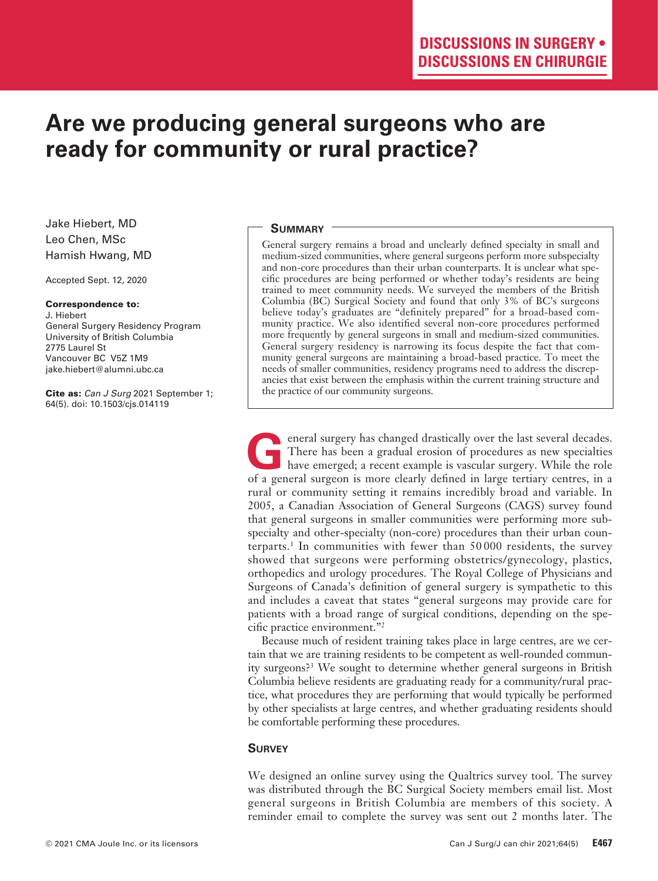# **Are we producing general surgeons who are ready for community or rural practice?**

Jake Hiebert, MD Leo Chen, MSc Hamish Hwang, MD

Accepted Sept. 12, 2020

#### Correspondence to:

J. Hiebert General Surgery Residency Program University of British Columbia 2775 Laurel St Vancouver BC V5Z 1M9 jake.hiebert@alumni.ubc.ca

Cite as: *Can J Surg* 2021 September 1; 64(5). doi: 10.1503/cjs.014119

### **Summary**

General surgery remains a broad and unclearly defined specialty in small and medium-sized communities, where general surgeons perform more subspecialty and non-core procedures than their urban counterparts. It is unclear what specific procedures are being performed or whether today's residents are being trained to meet community needs. We surveyed the members of the British Columbia (BC) Surgical Society and found that only 3% of BC's surgeons believe today's graduates are "definitely prepared" for a broad-based community practice. We also identified several non-core procedures performed more frequently by general surgeons in small and medium-sized communities. General surgery residency is narrowing its focus despite the fact that community general surgeons are maintaining a broad-based practice. To meet the needs of smaller communities, residency programs need to address the discrepancies that exist between the emphasis within the current training structure and the practice of our community surgeons.

**G**eneral surgery has changed drastically over the last several decades.<br>
There has been a gradual erosion of procedures as new specialties<br>
have emerged; a recent example is vascular surgery. While the role<br>
of a general There has been a gradual erosion of procedures as new specialties of a general surgeon is more clearly defined in large tertiary centres, in a rural or community setting it remains incredibly broad and variable. In 2005, a Canadian Association of General Surgeons (CAGS) survey found that general surgeons in smaller communities were performing more subspecialty and other-specialty (non-core) procedures than their urban counterparts.1 In communities with fewer than 50 000 residents, the survey showed that surgeons were performing obstetrics/gynecology, plastics, orthopedics and urology procedures. The Royal College of Physicians and Surgeons of Canada's definition of general surgery is sympathetic to this and includes a caveat that states "general surgeons may provide care for patients with a broad range of surgical conditions, depending on the specific practice environment."2

Because much of resident training takes place in large centres, are we certain that we are training residents to be competent as well-rounded community surgeons?3 We sought to determine whether general surgeons in British Columbia believe residents are graduating ready for a community/rural practice, what procedures they are performing that would typically be performed by other specialists at large centres, and whether graduating residents should be comfortable performing these procedures.

## **Survey**

We designed an online survey using the Qualtrics survey tool. The survey was distributed through the BC Surgical Society members email list. Most general surgeons in British Columbia are members of this society. A reminder email to complete the survey was sent out 2 months later. The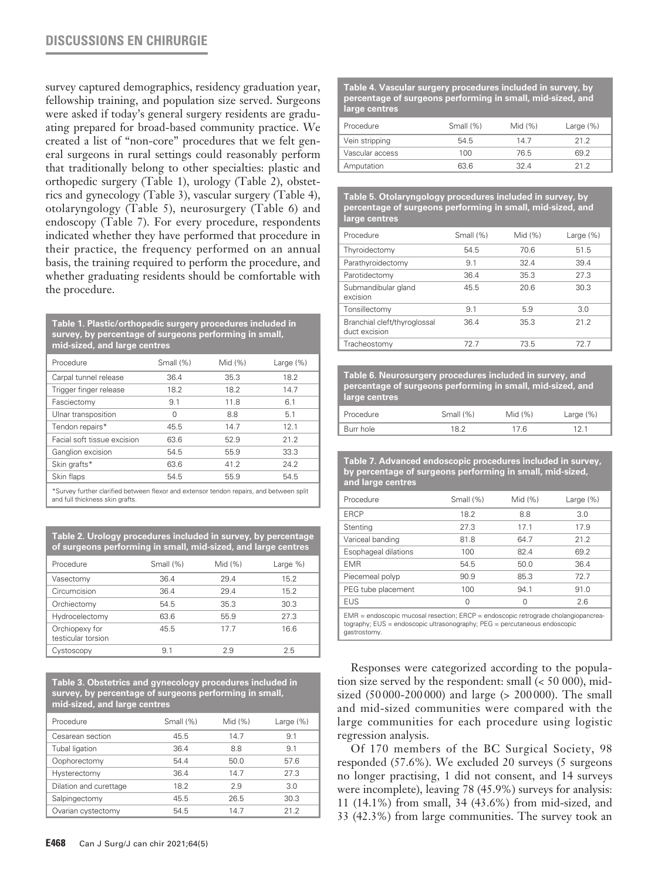## **DISCUSSIONS EN CHIRURGIE**

survey captured demographics, residency graduation year, fellowship training, and population size served. Surgeons were asked if today's general surgery residents are graduating prepared for broad-based community practice. We created a list of "non-core" procedures that we felt general surgeons in rural settings could reasonably perform that traditionally belong to other specialties: plastic and orthopedic surgery (Table 1), urology (Table 2), obstetrics and gynecology (Table 3), vascular surgery (Table 4), otolaryngology (Table 5), neurosurgery (Table 6) and endoscopy (Table 7). For every procedure, respondents indicated whether they have performed that procedure in their practice, the frequency performed on an annual basis, the training required to perform the procedure, and whether graduating residents should be comfortable with the procedure.

**Table 1. Plastic/orthopedic surgery procedures included in survey, by percentage of surgeons performing in small, mid-sized, and large centres**

| Procedure                   | Small (%) | Mid $(% )$ | Large $(\%)$ |
|-----------------------------|-----------|------------|--------------|
| Carpal tunnel release       | 36.4      | 35.3       | 18.2         |
| Trigger finger release      | 18.2      | 18.2       | 14.7         |
| Fasciectomy                 | 9.1       | 11.8       | 6.1          |
| Ulnar transposition         | $\Omega$  | 8.8        | 5.1          |
| Tendon repairs*             | 45.5      | 14.7       | 12.1         |
| Facial soft tissue excision | 63.6      | 52.9       | 21.2         |
| Ganglion excision           | 54.5      | 55.9       | 33.3         |
| Skin grafts*                | 63.6      | 41.2       | 24.2         |
| Skin flaps                  | 54.5      | 55.9       | 54.5         |

\*Survey further clarified between flexor and extensor tendon repairs, and between split and full thickness skin grafts.

**Table 2. Urology procedures included in survey, by percentage of surgeons performing in small, mid-sized, and large centres** 

| Procedure                            | Small (%) | Mid $(% )$ | Large %) |
|--------------------------------------|-----------|------------|----------|
| Vasectomy                            | 36.4      | 29.4       | 15.2     |
| Circumcision                         | 36.4      | 29.4       | 15.2     |
| Orchiectomy                          | 54.5      | 35.3       | 30.3     |
| Hydrocelectomy                       | 63.6      | 55.9       | 27.3     |
| Orchiopexy for<br>testicular torsion | 45.5      | 177        | 16.6     |
| Cystoscopy                           | 9.1       | 29         | 25       |

**Table 3. Obstetrics and gynecology procedures included in survey, by percentage of surgeons performing in small, mid-sized, and large centres**

| Procedure              | Small (%) | Mid $(% )$ | Large $(\%)$ |
|------------------------|-----------|------------|--------------|
| Cesarean section       | 45.5      | 14.7       | 9.1          |
| Tubal ligation         | 36.4      | 8.8        | 9.1          |
| Oophorectomy           | 54.4      | 50.0       | 57.6         |
| Hysterectomy           | 36.4      | 14.7       | 27.3         |
| Dilation and curettage | 18.2      | 2.9        | 3.0          |
| Salpingectomy          | 45.5      | 26.5       | 30.3         |
| Ovarian cystectomy     | 54.5      | 14.7       | 21.2         |

**Table 4. Vascular surgery procedures included in survey, by percentage of surgeons performing in small, mid-sized, and large centres**

| Procedure       | Small (%) | Mid $(% )$ | Large $(\%)$ |
|-----------------|-----------|------------|--------------|
| Vein stripping  | 54.5      | 14 7       | 21 2         |
| Vascular access | 100       | 76.5       | 692          |
| Amputation      | 63.6      | 32 4       | 21 2         |

**Table 5. Otolaryngology procedures included in survey, by percentage of surgeons performing in small, mid-sized, and large centres**

| Procedure                                     | Small (%) | Mid $(% )$ | Large $(\%)$ |
|-----------------------------------------------|-----------|------------|--------------|
| Thyroidectomy                                 | 54.5      | 70.6       | 51.5         |
| Parathyroidectomy                             | 9.1       | 32.4       | 39.4         |
| Parotidectomy                                 | 36.4      | 35.3       | 27.3         |
| Submandibular gland<br>excision               | 45.5      | 20.6       | 30.3         |
| Tonsillectomy                                 | 9.1       | 5.9        | 3.0          |
| Branchial cleft/thyroglossal<br>duct excision | 36.4      | 35.3       | 21.2         |
| Tracheostomy                                  | 72 7      | 73.5       | 72 7         |

**Table 6. Neurosurgery procedures included in survey, and percentage of surgeons performing in small, mid-sized, and large centres**

| Procedure | Small (%)  | Mid $(% )$ | Large $(\%)$ |
|-----------|------------|------------|--------------|
| Burr hole | 1 ວາ<br>-- | 17 R       |              |

**Table 7. Advanced endoscopic procedures included in survey, by percentage of surgeons performing in small, mid-sized, and large centres**

| Procedure                                                                                                                                                                         | Small (%)<br>Mid $(% )$ |            | Large $(\%)$ |  |  |
|-----------------------------------------------------------------------------------------------------------------------------------------------------------------------------------|-------------------------|------------|--------------|--|--|
| <b>ERCP</b>                                                                                                                                                                       | 18.2                    | 8.8<br>3.0 |              |  |  |
| Stenting                                                                                                                                                                          | 27.3                    | 171        | 17.9         |  |  |
| Variceal banding                                                                                                                                                                  | 81.8                    | 64.7       | 21.2         |  |  |
| Esophageal dilations                                                                                                                                                              | 100                     | 82.4       | 69.2         |  |  |
| <b>EMR</b>                                                                                                                                                                        | 54.5                    | 50.0       | 36.4         |  |  |
| Piecemeal polyp                                                                                                                                                                   | 90.9                    | 85.3       | 72 7         |  |  |
| PEG tube placement                                                                                                                                                                | 100                     | 94.1       | 91.0         |  |  |
| <b>EUS</b>                                                                                                                                                                        | ∩                       | Ω          | 2.6          |  |  |
| $EMR = endoscopic mucosal resection; ERCP = endoscopic retrograde cholanqiopancrea-$<br>tography; EUS = endoscopic ultrasonography; PEG = percutaneous endoscopic<br>gastrostomy. |                         |            |              |  |  |

Responses were categorized according to the population size served by the respondent: small (< 50 000), midsized (50 000-200 000) and large (> 200 000). The small and mid-sized communities were compared with the large communities for each procedure using logistic regression analysis.

Of 170 members of the BC Surgical Society, 98 responded (57.6%). We excluded 20 surveys (5 surgeons no longer practising, 1 did not consent, and 14 surveys were incomplete), leaving 78 (45.9%) surveys for analysis: 11 (14.1%) from small, 34 (43.6%) from mid-sized, and 33 (42.3%) from large communities. The survey took an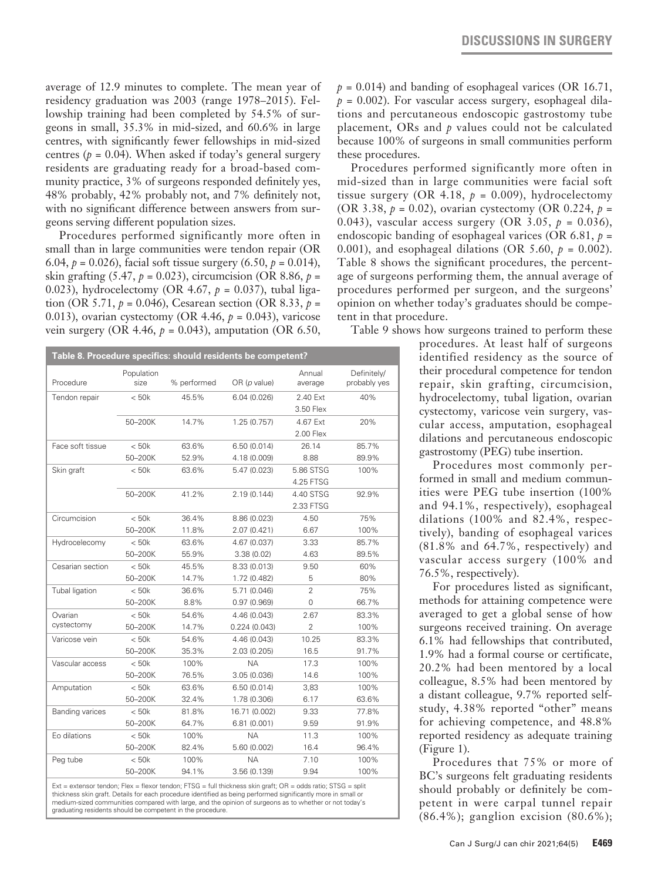average of 12.9 minutes to complete. The mean year of residency graduation was 2003 (range 1978–2015). Fellowship training had been completed by 54.5% of surgeons in small, 35.3% in mid-sized, and 60.6% in large centres, with significantly fewer fellowships in mid-sized centres ( $p = 0.04$ ). When asked if today's general surgery residents are graduating ready for a broad-based community practice, 3% of surgeons responded definitely yes, 48% probably, 42% probably not, and 7% definitely not, with no significant difference between answers from surgeons serving different population sizes.

Procedures performed significantly more often in small than in large communities were tendon repair (OR 6.04,  $p = 0.026$ , facial soft tissue surgery  $(6.50, p = 0.014)$ , skin grafting (5.47,  $p = 0.023$ ), circumcision (OR 8.86,  $p =$ 0.023), hydrocelectomy (OR 4.67, *p* = 0.037), tubal ligation (OR 5.71,  $p = 0.046$ ), Cesarean section (OR 8.33,  $p =$ 0.013), ovarian cystectomy (OR 4.46, *p* = 0.043), varicose vein surgery (OR 4.46,  $p = 0.043$ ), amputation (OR 6.50,

| Table 8. Procedure specifics: should residents be competent? |                    |                |                              |                        |                             |  |
|--------------------------------------------------------------|--------------------|----------------|------------------------------|------------------------|-----------------------------|--|
| Procedure                                                    | Population<br>size | % performed    | OR(p value)                  | Annual<br>average      | Definitely/<br>probably yes |  |
| Tendon repair                                                | < 50k              | 45.5%          | 6.04(0.026)                  | 2.40 Ext<br>3.50 Flex  | 40%                         |  |
|                                                              | 50-200K            | 14.7%          | 1.25(0.757)                  | 4.67 Ext<br>2.00 Flex  | 20%                         |  |
| Face soft tissue                                             | $<$ 50 $k$         | 63.6%          | 6.50(0.014)                  | 26.14                  | 85.7%                       |  |
|                                                              | 50-200K            | 52.9%          | 4.18 (0.009)                 | 8.88                   | 89.9%                       |  |
| Skin graft                                                   | < 50k              | 63.6%          | 5.47 (0.023)                 | 5.86 STSG<br>4.25 FTSG | 100%                        |  |
|                                                              | 50-200K            | 41.2%          | 2.19(0.144)                  | 4.40 STSG<br>2.33 FTSG | 92.9%                       |  |
| Circumcision                                                 | < 50k              | 36.4%          | 8.86 (0.023)                 | 4.50                   | 75%                         |  |
|                                                              | 50-200K            | 11.8%          | 2.07 (0.421)                 | 6.67                   | 100%                        |  |
| Hydrocelecomy                                                | $<$ 50 $k$         | 63.6%          | 4.67 (0.037)                 | 3.33                   | 85.7%                       |  |
|                                                              | 50-200K            | 55.9%          | 3.38(0.02)                   | 4.63                   | 89.5%                       |  |
| Cesarian section                                             | $<$ 50 $k$         | 45.5%          | 8.33 (0.013)                 | 9.50                   | 60%                         |  |
|                                                              | 50-200K            | 14.7%          | 1.72 (0.482)                 | 5                      | 80%                         |  |
| Tubal ligation                                               | < 50k              | 36.6%          | 5.71 (0.046)                 | $\overline{2}$         | 75%                         |  |
|                                                              | 50-200K            | 8.8%           | 0.97(0.969)                  | $\Omega$               | 66.7%                       |  |
| Ovarian                                                      | < 50k              | 54.6%          | 4.46 (0.043)                 | 2.67                   | 83.3%                       |  |
| cystectomy                                                   | 50-200K            | 14.7%          | 0.224(0.043)                 | $\overline{2}$         | 100%                        |  |
| Varicose vein                                                | < 50k              | 54.6%          | 4.46 (0.043)                 | 10.25                  | 83.3%                       |  |
|                                                              | 50-200K            | 35.3%          | 2.03(0.205)                  | 16.5                   | 91.7%                       |  |
| Vascular access                                              | < 50k              | 100%           | <b>NA</b>                    | 17.3                   | 100%                        |  |
|                                                              | 50-200K            | 76.5%          | 3.05 (0.036)                 | 14.6                   | 100%                        |  |
| Amputation                                                   | < 50k              | 63.6%          | 6.50(0.014)                  | 3,83                   | 100%                        |  |
|                                                              | 50-200K            | 32.4%          | 1.78 (0.306)                 | 6.17                   | 63.6%                       |  |
| <b>Banding varices</b>                                       | < 50k<br>50-200K   | 81.8%<br>64.7% | 16.71 (0.002)<br>6.81(0.001) | 9.33<br>9.59           | 77.8%<br>91.9%              |  |
| Eo dilations                                                 | < 50k              | 100%           | <b>NA</b>                    | 11.3                   | 100%                        |  |
|                                                              | 50-200K            | 82.4%          | 5.60 (0.002)                 | 16.4                   | 96.4%                       |  |
| Peg tube                                                     | < 50k              | 100%           | <b>NA</b>                    | 7.10                   | 100%                        |  |
|                                                              | 50-200K            | 94.1%          | 3.56 (0.139)                 | 9.94                   | 100%                        |  |

Ext = extensor tendon; Flex = flexor tendon; FTSG = full thickness skin graft; OR = odds ratio; STSG = split thickness skin graft. Details for each procedure identified as being performed significantly more in small or medium-sized communities compared with large, and the opinion of surgeons as to whether or not today's graduating residents should be competent in the procedure.

 $p = 0.014$ ) and banding of esophageal varices (OR 16.71,  $p = 0.002$ ). For vascular access surgery, esophageal dilations and percutaneous endoscopic gastrostomy tube placement, ORs and *p* values could not be calculated because 100% of surgeons in small communities perform these procedures.

Procedures performed significantly more often in mid-sized than in large communities were facial soft tissue surgery (OR 4.18,  $p = 0.009$ ), hydrocelectomy (OR 3.38, *p* = 0.02), ovarian cystectomy (OR 0.224, *p* = 0.043), vascular access surgery (OR 3.05, *p* = 0.036), endoscopic banding of esophageal varices (OR 6.81, *p* = 0.001), and esophageal dilations (OR 5.60,  $p = 0.002$ ). Table 8 shows the significant procedures, the percentage of surgeons performing them, the annual average of procedures performed per surgeon, and the surgeons' opinion on whether today's graduates should be competent in that procedure.

Table 9 shows how surgeons trained to perform these

procedures. At least half of surgeons identified residency as the source of their procedural competence for tendon repair, skin grafting, circumcision, hydrocelectomy, tubal ligation, ovarian cystectomy, varicose vein surgery, vascular access, amputation, esophageal dilations and percutaneous endoscopic gastrostomy (PEG) tube insertion.

Procedures most commonly performed in small and medium communities were PEG tube insertion (100% and 94.1%, respectively), esophageal dilations (100% and 82.4%, respectively), banding of esophageal varices (81.8% and 64.7%, respectively) and vascular access surgery (100% and 76.5%, respectively).

For procedures listed as significant, methods for attaining competence were averaged to get a global sense of how surgeons received training. On average 6.1% had fellowships that contributed, 1.9% had a formal course or certificate, 20.2% had been mentored by a local colleague, 8.5% had been mentored by a distant colleague, 9.7% reported selfstudy, 4.38% reported "other" means for achieving competence, and 48.8% reported residency as adequate training (Figure 1).

Procedures that 75% or more of BC's surgeons felt graduating residents should probably or definitely be competent in were carpal tunnel repair (86.4%); ganglion excision (80.6%);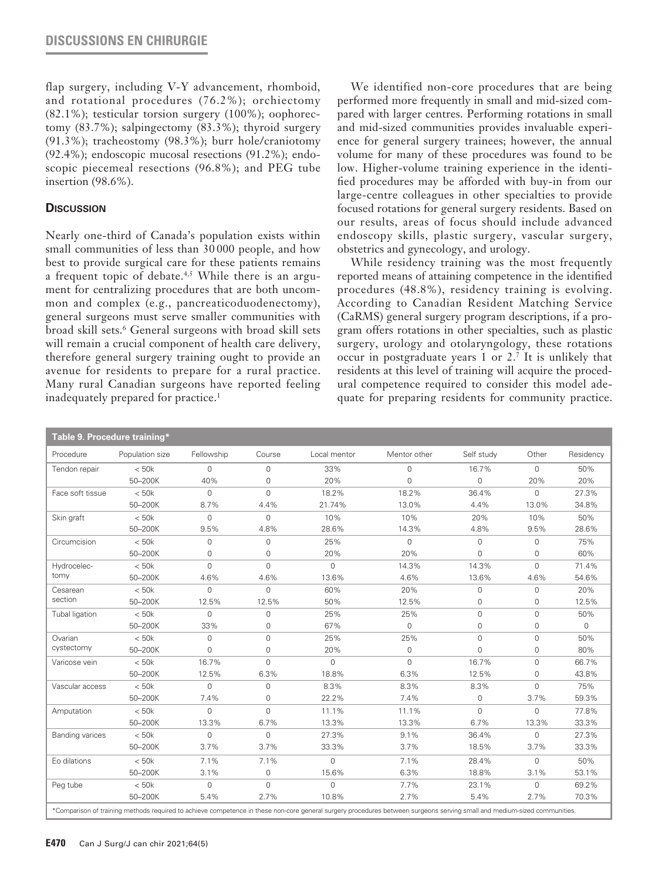flap surgery, including V-Y advancement, rhomboid, and rotational procedures (76.2%); orchiectomy (82.1%); testicular torsion surgery (100%); oophorectomy (83.7%); salpingectomy (83.3%); thyroid surgery (91.3%); tracheostomy (98.3%); burr hole/craniotomy (92.4%); endoscopic mucosal resections (91.2%); endoscopic piecemeal resections (96.8%); and PEG tube insertion (98.6%).

## **Discussion**

Nearly one-third of Canada's population exists within small communities of less than 30 000 people, and how best to provide surgical care for these patients remains a frequent topic of debate.<sup>4,5</sup> While there is an argument for centralizing procedures that are both uncommon and complex (e.g., pancreaticoduodenectomy), general surgeons must serve smaller communities with broad skill sets.6 General surgeons with broad skill sets will remain a crucial component of health care delivery, therefore general surgery training ought to provide an avenue for residents to prepare for a rural practice. Many rural Canadian surgeons have reported feeling inadequately prepared for practice.<sup>1</sup>

We identified non-core procedures that are being performed more frequently in small and mid-sized compared with larger centres. Performing rotations in small and mid-sized communities provides invaluable experience for general surgery trainees; however, the annual volume for many of these procedures was found to be low. Higher-volume training experience in the identified procedures may be afforded with buy-in from our large-centre colleagues in other specialties to provide focused rotations for general surgery residents. Based on our results, areas of focus should include advanced endoscopy skills, plastic surgery, vascular surgery, obstetrics and gynecology, and urology.

While residency training was the most frequently reported means of attaining competence in the identified procedures (48.8%), residency training is evolving. According to Canadian Resident Matching Service (CaRMS) general surgery program descriptions, if a program offers rotations in other specialties, such as plastic surgery, urology and otolaryngology, these rotations occur in postgraduate years 1 or 2.7 It is unlikely that residents at this level of training will acquire the procedural competence required to consider this model adequate for preparing residents for community practice.

| Procedure              | Population size | Fellowship   | Course       | Local mentor | Mentor other | Self study   | Other        | Residency   |
|------------------------|-----------------|--------------|--------------|--------------|--------------|--------------|--------------|-------------|
| Tendon repair          | $<$ 50 $k$      | $\Omega$     | $\Omega$     | 33%          | $\Omega$     | 16.7%        | $\Omega$     | 50%         |
|                        | 50-200K         | 40%          | $\Omega$     | 20%          | 0            | $\Omega$     | 20%          | 20%         |
| Face soft tissue       | $<$ 50 $k$      | $\Omega$     | $\Omega$     | 18.2%        | 18.2%        | 36.4%        | $\mathbf 0$  | 27.3%       |
|                        | 50-200K         | 8.7%         | 4.4%         | 21.74%       | 13.0%        | 4.4%         | 13.0%        | 34.8%       |
| Skin graft             | < 50k           | $\Omega$     | $\mathbf{0}$ | 10%          | 10%          | 20%          | 10%          | 50%         |
|                        | 50-200K         | 9.5%         | 4.8%         | 28.6%        | 14.3%        | 4.8%         | 9.5%         | 28.6%       |
| Circumcision           | $<$ 50 $k$      | $\Omega$     | $\Omega$     | 25%          | 0            | 0            | $\Omega$     | 75%         |
|                        | 50-200K         | $\Omega$     | $\Omega$     | 20%          | 20%          | $\Omega$     | $\Omega$     | 60%         |
| Hydrocelec-            | $<$ 50 $k$      | $\mathbf 0$  | $\mathbf 0$  | $\mathbf 0$  | 14.3%        | 14.3%        | $\mathbf{0}$ | 71.4%       |
| tomy                   | 50-200K         | 4.6%         | 4.6%         | 13.6%        | 4.6%         | 13.6%        | 4.6%         | 54.6%       |
| Cesarean               | < 50k           | $\Omega$     | $\mathbf{O}$ | 60%          | 20%          | $\mathbf{O}$ | 0            | 20%         |
| section                | 50-200K         | 12.5%        | 12.5%        | 50%          | 12.5%        | 0            | 0            | 12.5%       |
| Tubal ligation         | $<$ 50 $k$      | $\Omega$     | $\Omega$     | 25%          | 25%          | $\Omega$     | $\Omega$     | 50%         |
|                        | 50-200K         | 33%          | $\Omega$     | 67%          | 0            | $\Omega$     | $\Omega$     | $\mathbf 0$ |
| Ovarian                | $<$ 50 $k$      | $\Omega$     | $\Omega$     | 25%          | 25%          | $\Omega$     | $\Omega$     | 50%         |
| cystectomy             | 50-200K         | $\Omega$     | $\mathbf{O}$ | 20%          | 0            | $\mathbf{O}$ | $\mathbf{O}$ | 80%         |
| Varicose vein          | < 50k           | 16.7%        | $\mathbf 0$  | $\mathbf{0}$ | 0            | 16.7%        | $\mathbf{O}$ | 66.7%       |
|                        | 50-200K         | 12.5%        | 6.3%         | 18.8%        | 6.3%         | 12.5%        | $\Omega$     | 43.8%       |
| Vascular access        | $<$ 50 $k$      | $\Omega$     | $\Omega$     | 8.3%         | 8.3%         | 8.3%         | $\Omega$     | 75%         |
|                        | 50-200K         | 7.4%         | 0            | 22.2%        | 7.4%         | $\mathbf{O}$ | 3.7%         | 59.3%       |
| Amputation             | $<$ 50 $k$      | $\mathbf{O}$ | $\Omega$     | 11.1%        | 11.1%        | $\Omega$     | $\mathbf{0}$ | 77.8%       |
|                        | 50-200K         | 13.3%        | 6.7%         | 13.3%        | 13.3%        | 6.7%         | 13.3%        | 33.3%       |
| <b>Banding varices</b> | < 50k           | $\mathbf{O}$ | $\mathbf{O}$ | 27.3%        | 9.1%         | 36.4%        | $\Omega$     | 27.3%       |
|                        | 50-200K         | 3.7%         | 3.7%         | 33.3%        | 3.7%         | 18.5%        | 3.7%         | 33.3%       |
| Eo dilations           | < 50k           | 7.1%         | 7.1%         | $\Omega$     | 7.1%         | 28.4%        | $\Omega$     | 50%         |
|                        | 50-200K         | 3.1%         | $\mathbf{O}$ | 15.6%        | 6.3%         | 18.8%        | 3.1%         | 53.1%       |
| Peg tube               | < 50k           | $\mathbf{O}$ | $\mathbf 0$  | $\mathbf 0$  | 7.7%         | 23.1%        | $\Omega$     | 69.2%       |
|                        | 50-200K         | 5.4%         | 2.7%         | 10.8%        | 2.7%         | 5.4%         | 2.7%         | 70.3%       |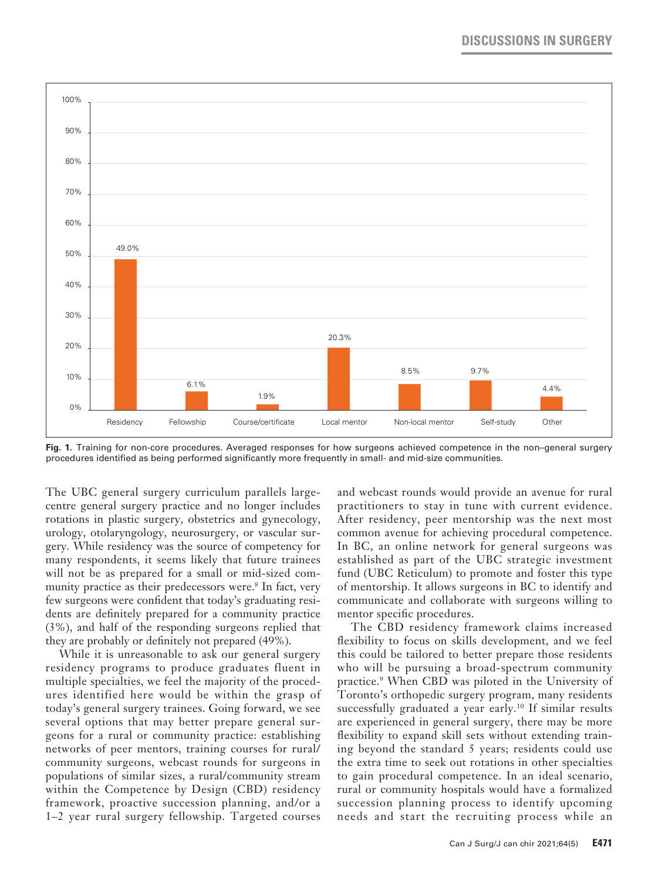

**Fig. 1.** Training for non-core procedures. Averaged responses for how surgeons achieved competence in the non–general surgery procedures identified as being performed significantly more frequently in small- and mid-size communities.

The UBC general surgery curriculum parallels largecentre general surgery practice and no longer includes rotations in plastic surgery, obstetrics and gynecology, urology, otolaryngology, neurosurgery, or vascular surgery. While residency was the source of competency for many respondents, it seems likely that future trainees will not be as prepared for a small or mid-sized community practice as their predecessors were.<sup>8</sup> In fact, very few surgeons were confident that today's graduating residents are definitely prepared for a community practice (3%), and half of the responding surgeons replied that they are probably or definitely not prepared (49%).

While it is unreasonable to ask our general surgery residency programs to produce graduates fluent in multiple specialties, we feel the majority of the procedures identified here would be within the grasp of today's general surgery trainees. Going forward, we see several options that may better prepare general surgeons for a rural or community practice: establishing networks of peer mentors, training courses for rural/ community surgeons, webcast rounds for surgeons in populations of similar sizes, a rural/community stream within the Competence by Design (CBD) residency framework, proactive succession planning, and/or a 1–2 year rural surgery fellowship. Targeted courses

and webcast rounds would provide an avenue for rural practitioners to stay in tune with current evidence. After residency, peer mentorship was the next most common avenue for achieving procedural competence. In BC, an online network for general surgeons was established as part of the UBC strategic investment fund (UBC Reticulum) to promote and foster this type of mentorship. It allows surgeons in BC to identify and communicate and collaborate with surgeons willing to mentor specific procedures.

The CBD residency framework claims increased flexibility to focus on skills development, and we feel this could be tailored to better prepare those residents who will be pursuing a broad-spectrum community practice.9 When CBD was piloted in the University of Toronto's orthopedic surgery program, many residents successfully graduated a year early.<sup>10</sup> If similar results are experienced in general surgery, there may be more flexibility to expand skill sets without extending training beyond the standard 5 years; residents could use the extra time to seek out rotations in other specialties to gain procedural competence. In an ideal scenario, rural or community hospitals would have a formalized succession planning process to identify upcoming needs and start the recruiting process while an